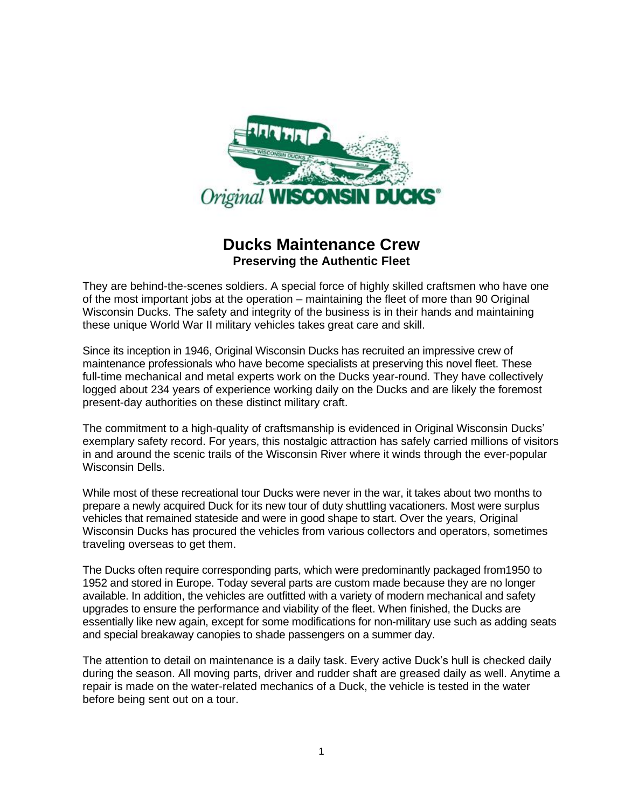

## **Ducks Maintenance Crew Preserving the Authentic Fleet**

They are behind-the-scenes soldiers. A special force of highly skilled craftsmen who have one of the most important jobs at the operation – maintaining the fleet of more than 90 Original Wisconsin Ducks. The safety and integrity of the business is in their hands and maintaining these unique World War II military vehicles takes great care and skill.

Since its inception in 1946, Original Wisconsin Ducks has recruited an impressive crew of maintenance professionals who have become specialists at preserving this novel fleet. These full-time mechanical and metal experts work on the Ducks year-round. They have collectively logged about 234 years of experience working daily on the Ducks and are likely the foremost present-day authorities on these distinct military craft.

The commitment to a high-quality of craftsmanship is evidenced in Original Wisconsin Ducks' exemplary safety record. For years, this nostalgic attraction has safely carried millions of visitors in and around the scenic trails of the Wisconsin River where it winds through the ever-popular Wisconsin Dells.

While most of these recreational tour Ducks were never in the war, it takes about two months to prepare a newly acquired Duck for its new tour of duty shuttling vacationers. Most were surplus vehicles that remained stateside and were in good shape to start. Over the years, Original Wisconsin Ducks has procured the vehicles from various collectors and operators, sometimes traveling overseas to get them.

The Ducks often require corresponding parts, which were predominantly packaged from1950 to 1952 and stored in Europe. Today several parts are custom made because they are no longer available. In addition, the vehicles are outfitted with a variety of modern mechanical and safety upgrades to ensure the performance and viability of the fleet. When finished, the Ducks are essentially like new again, except for some modifications for non-military use such as adding seats and special breakaway canopies to shade passengers on a summer day.

The attention to detail on maintenance is a daily task. Every active Duck's hull is checked daily during the season. All moving parts, driver and rudder shaft are greased daily as well. Anytime a repair is made on the water-related mechanics of a Duck, the vehicle is tested in the water before being sent out on a tour.